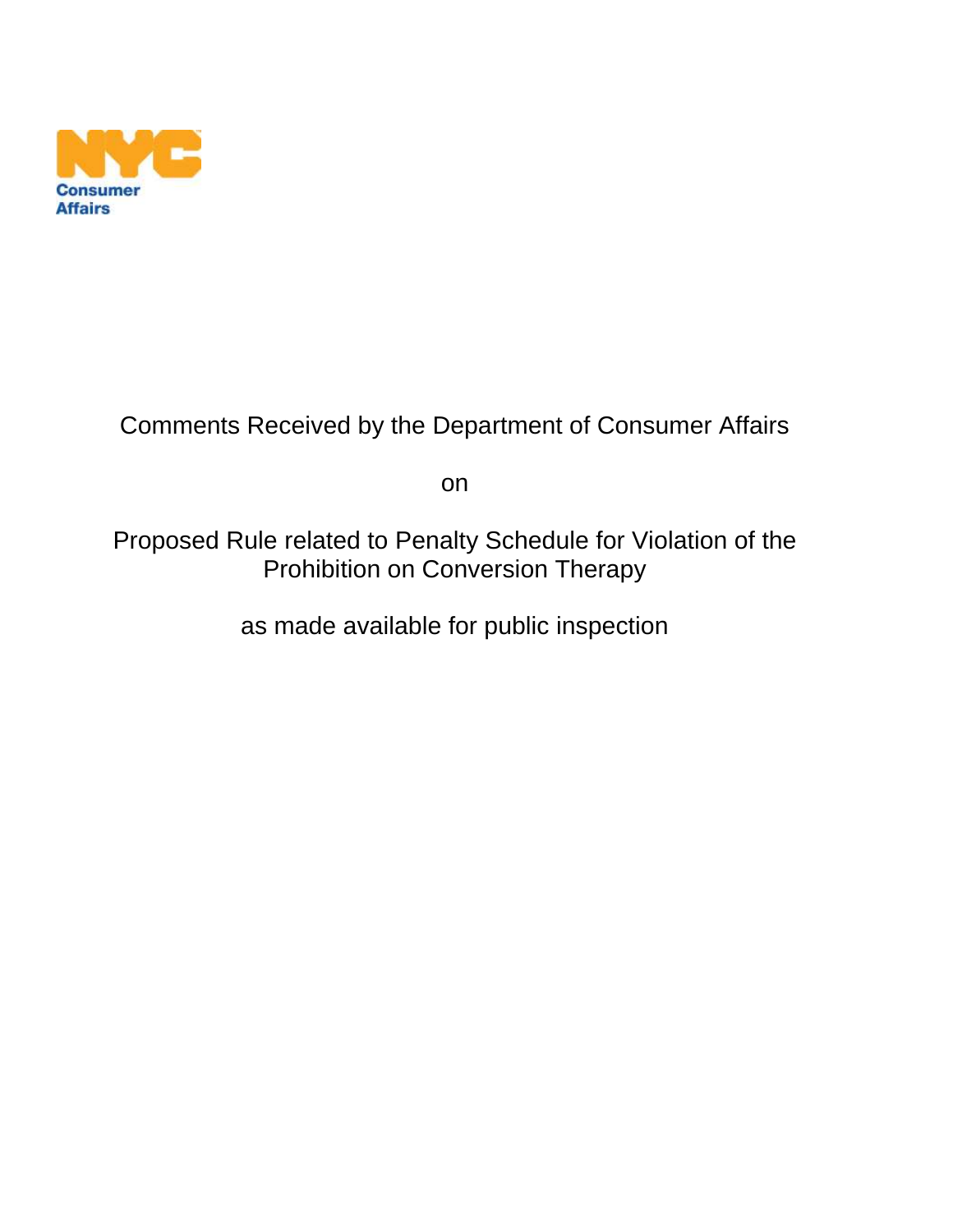

## Comments Received by the Department of Consumer Affairs

on

Proposed Rule related to Penalty Schedule for Violation of the Prohibition on Conversion Therapy

as made available for public inspection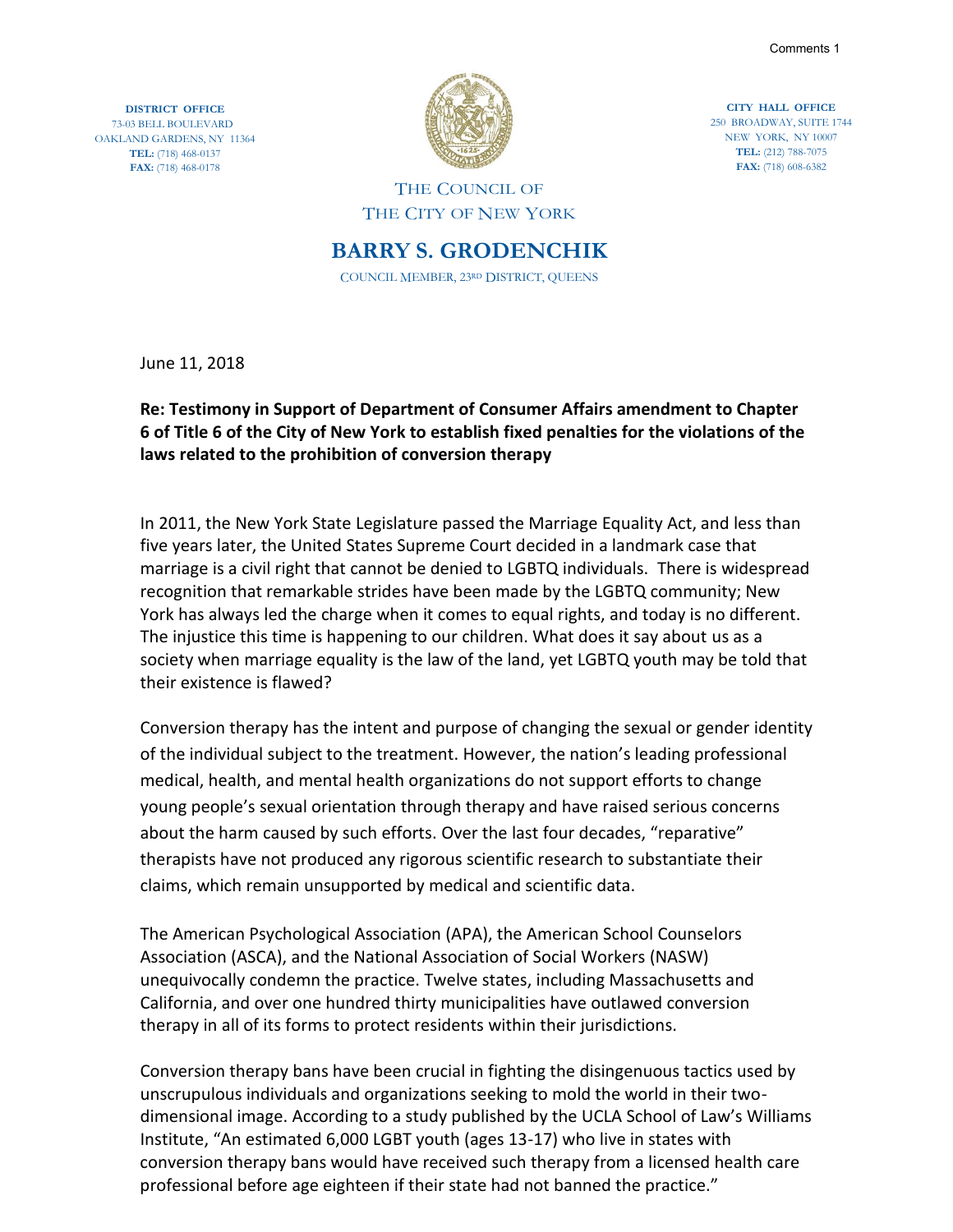Comments 1

**DISTRICT OFFICE** 73-03 BELL BOULEVARD OAKLAND GARDENS, NY 11364 **TEL:** (718) 468-0137 **FAX:** (718) 468-0178



**CITY HALL OFFICE** 250 BROADWAY, SUITE 1744 NEW YORK, NY 10007 **TEL:** (212) 788-7075 **FAX:** (718) 608-6382

## THE COUNCIL OF THE CITY OF NEW YORK

**BARRY S. GRODENCHIK** COUNCIL MEMBER, 23RD DISTRICT, QUEENS

June 11, 2018

## **Re: Testimony in Support of Department of Consumer Affairs amendment to Chapter 6 of Title 6 of the City of New York to establish fixed penalties for the violations of the laws related to the prohibition of conversion therapy**

In 2011, the New York State Legislature passed the Marriage Equality Act, and less than five years later, the United States Supreme Court decided in a landmark case that marriage is a civil right that cannot be denied to LGBTQ individuals. There is widespread recognition that remarkable strides have been made by the LGBTQ community; New York has always led the charge when it comes to equal rights, and today is no different. The injustice this time is happening to our children. What does it say about us as a society when marriage equality is the law of the land, yet LGBTQ youth may be told that their existence is flawed?

Conversion therapy has the intent and purpose of changing the sexual or gender identity of the individual subject to the treatment. However, the nation's leading professional medical, health, and mental health organizations do not support efforts to change young people's sexual orientation through therapy and have raised serious concerns about the harm caused by such efforts. Over the last four decades, "reparative" therapists have not produced any rigorous scientific research to substantiate their claims, which remain unsupported by medical and scientific data.

The American Psychological Association (APA), the American School Counselors Association (ASCA), and the National Association of Social Workers (NASW) unequivocally condemn the practice. Twelve states, including Massachusetts and California, and over one hundred thirty municipalities have outlawed conversion therapy in all of its forms to protect residents within their jurisdictions.

Conversion therapy bans have been crucial in fighting the disingenuous tactics used by unscrupulous individuals and organizations seeking to mold the world in their twodimensional image. According to a study published by the UCLA School of Law's Williams Institute, "An estimated 6,000 LGBT youth (ages 13-17) who live in states with conversion therapy bans would have received such therapy from a licensed health care professional before age eighteen if their state had not banned the practice."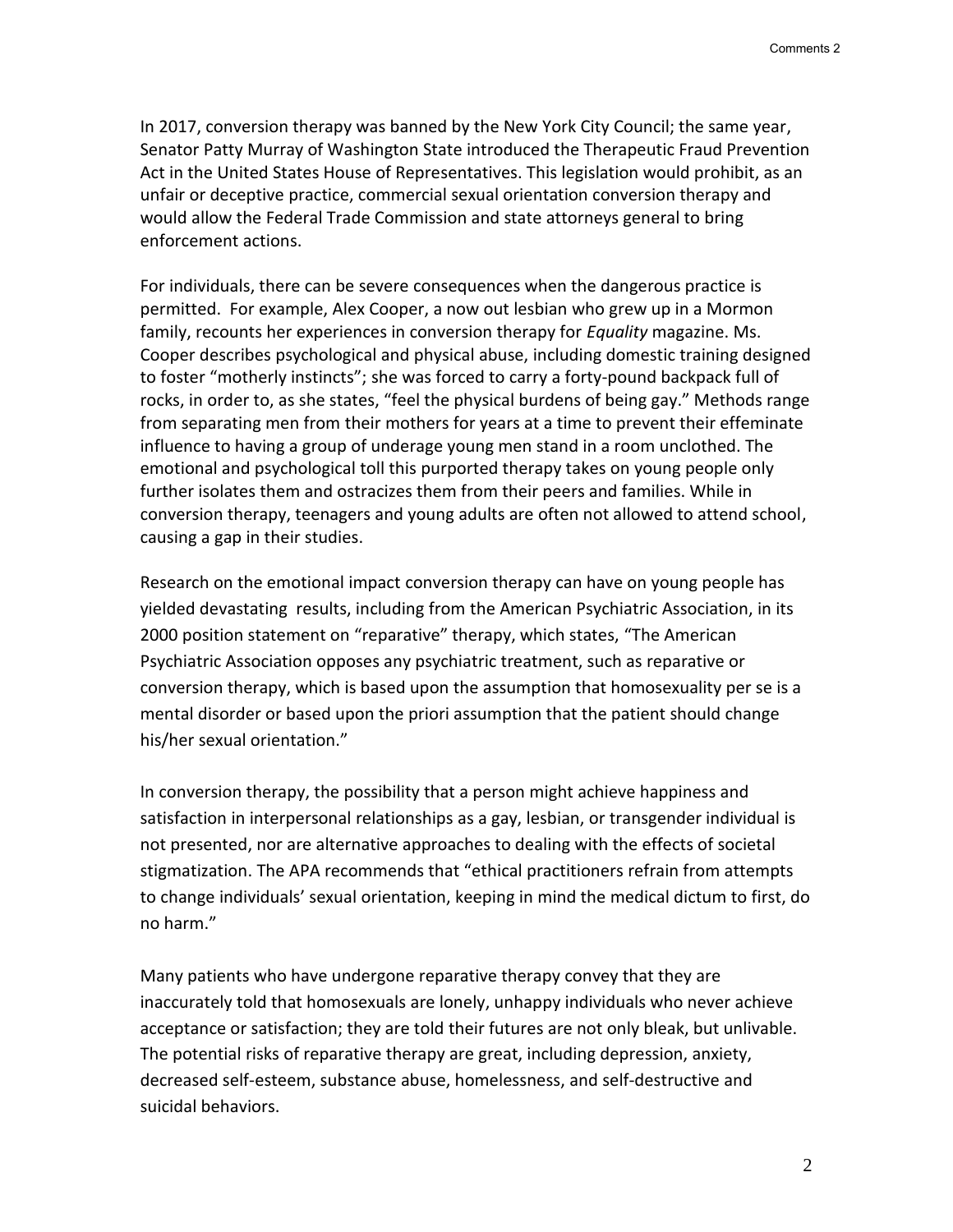In 2017, conversion therapy was banned by the New York City Council; the same year, Senator Patty Murray of Washington State introduced the Therapeutic Fraud Prevention Act in the United States House of Representatives. This legislation would prohibit, as an unfair or deceptive practice, commercial sexual orientation conversion therapy and would allow the Federal Trade Commission and state attorneys general to bring enforcement actions.

For individuals, there can be severe consequences when the dangerous practice is permitted. For example, Alex Cooper, a now out lesbian who grew up in a Mormon family, recounts her experiences in conversion therapy for *Equality* magazine. Ms. Cooper describes psychological and physical abuse, including domestic training designed to foster "motherly instincts"; she was forced to carry a forty-pound backpack full of rocks, in order to, as she states, "feel the physical burdens of being gay." Methods range from separating men from their mothers for years at a time to prevent their effeminate influence to having a group of underage young men stand in a room unclothed. The emotional and psychological toll this purported therapy takes on young people only further isolates them and ostracizes them from their peers and families. While in conversion therapy, teenagers and young adults are often not allowed to attend school, causing a gap in their studies.

Research on the emotional impact conversion therapy can have on young people has yielded devastating results, including from the American Psychiatric Association, in its 2000 position statement on "reparative" therapy, which states, "The American Psychiatric Association opposes any psychiatric treatment, such as reparative or conversion therapy, which is based upon the assumption that homosexuality per se is a mental disorder or based upon the priori assumption that the patient should change his/her sexual orientation."

In conversion therapy, the possibility that a person might achieve happiness and satisfaction in interpersonal relationships as a gay, lesbian, or transgender individual is not presented, nor are alternative approaches to dealing with the effects of societal stigmatization. The APA recommends that "ethical practitioners refrain from attempts to change individuals' sexual orientation, keeping in mind the medical dictum to first, do no harm."

Many patients who have undergone reparative therapy convey that they are inaccurately told that homosexuals are lonely, unhappy individuals who never achieve acceptance or satisfaction; they are told their futures are not only bleak, but unlivable. The potential risks of reparative therapy are great, including depression, anxiety, decreased self-esteem, substance abuse, homelessness, and self-destructive and suicidal behaviors.